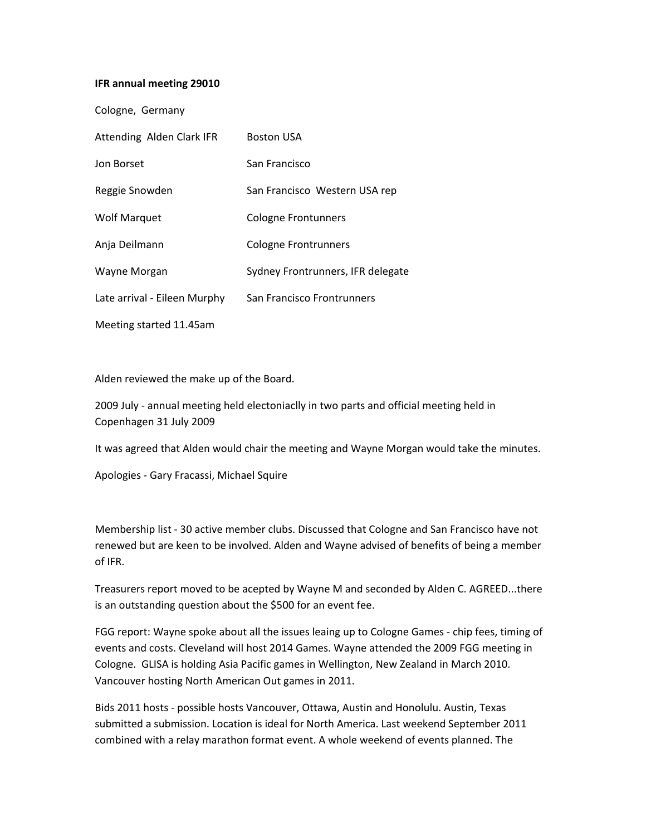## **IFR annual meeting 29010**

| Cologne, Germany             |                                   |
|------------------------------|-----------------------------------|
| Attending Alden Clark IFR    | <b>Boston USA</b>                 |
| Jon Borset                   | San Francisco                     |
| Reggie Snowden               | San Francisco Western USA rep     |
| <b>Wolf Marquet</b>          | Cologne Frontunners               |
| Anja Deilmann                | <b>Cologne Frontrunners</b>       |
| Wayne Morgan                 | Sydney Frontrunners, IFR delegate |
| Late arrival - Eileen Murphy | San Francisco Frontrunners        |
| Meeting started 11.45am      |                                   |

Alden reviewed the make up of the Board.

2009 July ‐ annual meeting held electoniaclly in two parts and official meeting held in Copenhagen 31 July 2009

It was agreed that Alden would chair the meeting and Wayne Morgan would take the minutes.

Apologies ‐ Gary Fracassi, Michael Squire

Membership list ‐ 30 active member clubs. Discussed that Cologne and San Francisco have not renewed but are keen to be involved. Alden and Wayne advised of benefits of being a member of IFR.

Treasurers report moved to be acepted by Wayne M and seconded by Alden C. AGREED...there is an outstanding question about the \$500 for an event fee.

FGG report: Wayne spoke about all the issues leaing up to Cologne Games ‐ chip fees, timing of events and costs. Cleveland will host 2014 Games. Wayne attended the 2009 FGG meeting in Cologne. GLISA is holding Asia Pacific games in Wellington, New Zealand in March 2010. Vancouver hosting North American Out games in 2011.

Bids 2011 hosts ‐ possible hosts Vancouver, Ottawa, Austin and Honolulu. Austin, Texas submitted a submission. Location is ideal for North America. Last weekend September 2011 combined with a relay marathon format event. A whole weekend of events planned. The